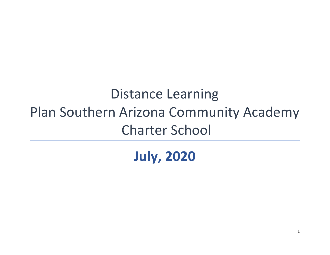# Distance Learning Plan Southern Arizona Community Academy Charter School

**July, 2020**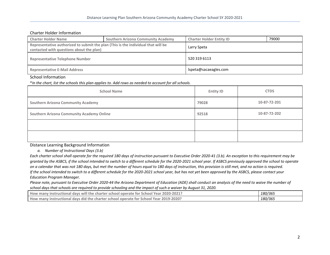## Charter Holder Information

| <b>Charter Holder Name</b>                                                                                                    | <b>Southern Arizona Community Academy</b> | <b>Charter Holder Entity ID</b> | 79000 |
|-------------------------------------------------------------------------------------------------------------------------------|-------------------------------------------|---------------------------------|-------|
| Representative authorized to submit the plan (This is the individual that will be<br>contacted with questions about the plan) |                                           | Larry Speta                     |       |
| <b>Representative Telephone Number</b>                                                                                        |                                           | 520 319 6113                    |       |
| <b>Representative E-Mail Address</b>                                                                                          |                                           | lspeta@sacaeagles.com           |       |

## School Information

\*In the chart, list the schools this plan applies to. Add rows as needed to account for all schools.

| <b>School Name</b>                               | <b>Entity ID</b> | <b>CTDS</b>  |
|--------------------------------------------------|------------------|--------------|
| <b>Southern Arizona Community Academy</b>        | 79028            | 10-87-72-201 |
| <b>Southern Arizona Community Academy Online</b> | 92518            | 10-87-72-202 |
|                                                  |                  |              |
|                                                  |                  |              |

Distance Learning Background Information

*a. Number of Instructional Days (3.b)*

Each charter school shall operate for the required 180 days of instruction pursuant to Executive Order 2020-41 (3.b). An exception to this requirement may be granted by the ASBCS, if the school intended to switch to a different schedule for the 2020-2021 school year. If ASBCS previously approved the school to operate on a calendar that was not 180 days, but met the number of hours equal to 180 days of instruction, this provision is still met, and no action is required. If the school intended to switch to a different schedule for the 2020-2021 school year, but has not yet been approved by the ASBCS, please contact your *Education Program Manager.*

Please note, pursuant to Executive Order 2020-44 the Arizona Department of Education (ADE) shall conduct an analysis of the need to waive the number of school days that schools are required to provide schooling and the impact of such a waiver by August 31, 2020.

| How many instructional days will the charter school operate for School Year 2020-2021? | 180/365 |
|----------------------------------------------------------------------------------------|---------|
| How many instructional days did the charter school operate for School Year 2019-2020?  | 180/365 |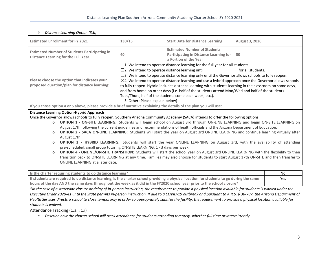### *b. Distance Learning Option (3.b)*

| <b>Estimated Enrollment for FY 2021</b>                                                                             | 130/15                                                                                                           | <b>Start Date for Distance Learning</b>                                                                | August 3, 2020 |
|---------------------------------------------------------------------------------------------------------------------|------------------------------------------------------------------------------------------------------------------|--------------------------------------------------------------------------------------------------------|----------------|
| <b>Estimated Number of Students Participating in</b><br><b>Distance Learning for the Full Year</b>                  | 40                                                                                                               | <b>Estimated Number of Students</b><br>Participating in Distance Learning for<br>a Portion of the Year | 50             |
|                                                                                                                     |                                                                                                                  | $\square$ 1. We intend to operate distance learning for the full year for all students.                |                |
|                                                                                                                     |                                                                                                                  | $\square$ 2. We intend to operate distance learning until $\square$ for all students.                  |                |
|                                                                                                                     | $\square$ 3. We intend to operate distance learning only until the Governor allows schools to fully reopen.      |                                                                                                        |                |
| Please choose the option that indicates your                                                                        | $\boxtimes$ 4. We intend to operate distance learning and use a hybrid approach once the Governor allows schools |                                                                                                        |                |
| proposed duration/plan for distance learning:                                                                       | to fully reopen. Hybrid includes distance learning with students learning in the classroom on some days,         |                                                                                                        |                |
|                                                                                                                     | and from home on other days (i.e. half of the students attend Mon/Wed and half of the students                   |                                                                                                        |                |
|                                                                                                                     | Tues/Thurs, half of the students come each week, etc.).                                                          |                                                                                                        |                |
|                                                                                                                     | $\square$ 5. Other (Please explain below)                                                                        |                                                                                                        |                |
| If you chose option 4 or 5 above, please provide a brief narrative explaining the details of the plan you will use: |                                                                                                                  |                                                                                                        |                |
| <b>Distance Learning Option-Hybrid Approach</b>                                                                     |                                                                                                                  |                                                                                                        |                |

Once the Governor allows schools to fully reopen, Southern Arizona Community Academy (SACA) intends to offer the following options:

- o **OPTION 1 - ON-SITE LEARNING:** Students will begin school on August 3rd through ON-LINE LEARNING and begin ON-SITE LEARNING on August 17th following the current guidelines and recommendations of health officials and the Arizona Department of Education.
- o **OPTION 2 - SACA ON-LINE LEARNING:** Students will start the year on August 3rd ONLINE LEARNING and continue learning virtually after August 17th.
- o **OPTION 3 - HYBRID LEARNING:** Students will start the year ONLINE LEARNING on August 3rd, with the availability of attending pre-scheduled, small group tutoring ON-SITE LEARNING, 1 - 3 days per week.
- o **OPTION 4 - ONLINE/ON-SITE TRANSITION:** Students will start the school year on August 3rd ONLINE LEARNING with the flexibility to then transition back to ON-SITE LEARNING at any time. Families may also choose for students to start August 17th ON-SITE and then transfer to ONLINE LEARNING at a later date.

| I is the charter requiring students to do distance learning?                                                                             | No  |
|------------------------------------------------------------------------------------------------------------------------------------------|-----|
| If students are required to do distance learning, is the charter school providing a physical location for students to go during the same | Yes |
| hours of the day AND the same days throughout the week as it did in the FY2020 school year prior to the school closure?                  |     |

\*In the case of a statewide closure or delay of in-person instruction, the requirement to provide a physical location available for students is waived under the Executive Order 2020-41 until the State permits in-person instruction. If due to a COVID-19 outbreak and pursuant to A.R.S. § 36-787, the Arizona Department of Health Services directs a school to close temporarily in order to appropriately sanitize the facility, the requirement to provide a physical location available for *students is waived.*

## Attendance Tracking (1.a.i, 1.i)

a. Describe how the charter school will track attendance for students attending remotely, whether full time or intermittently.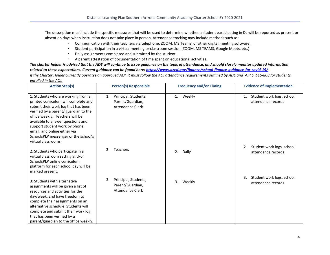The description must include the specific measures that will be used to determine whether a student participating in DL will be reported as present or absent on days when instruction does not take place in person. Attendance tracking may include methods such as:

- Communication with their teachers via telephone, ZOOM, MS Teams, or other digital meeting software.
- Student participation in a virtual meeting or classroom session (ZOOM, MS TEAMS, Google Meets, etc.)
- Daily assignments completed and submitted by the student.
- A parent attestation of documentation of time spent on educational activities.

The charter holder is advised that the ADE will continue to issue quidance on the topic of attendance, and should closely monitor updated information *related to these expectations. Current guidance can be found here: <https://www.azed.gov/finance/school-finance-guidance-for-covid-19/>* If the Charter Holder currently operates an approved AOI, it must follow the AOI attendance requirements outlined by ADE and A.R.S. §15-808 for students *enrolled in the AOI.*

| enrolled in the AOI.                                                                                                                                                                                                                                                                                                                                                |                                                                           |                                |                                                       |
|---------------------------------------------------------------------------------------------------------------------------------------------------------------------------------------------------------------------------------------------------------------------------------------------------------------------------------------------------------------------|---------------------------------------------------------------------------|--------------------------------|-------------------------------------------------------|
| <b>Action Step(s)</b>                                                                                                                                                                                                                                                                                                                                               | <b>Person(s) Responsible</b>                                              | <b>Frequency and/or Timing</b> | <b>Evidence of Implementation</b>                     |
| 1: Students who are working from a<br>printed curriculum will complete and<br>submit their work log that has been<br>verified by a parent/ guardian to the<br>office weekly. Teachers will be<br>available to answer questions and<br>support student work by phone,<br>email, and online either via<br>SchoolsPLP messenger or the school's<br>virtual classrooms. | Principal, Students,<br>1.<br>Parent/Guardian,<br><b>Attendance Clerk</b> | Weekly<br>1.                   | Student work logs, school<br>1.<br>attendance records |
| 2: Students who participate in a<br>virtual classroom setting and/or<br>SchoolsPLP online curriculum<br>platform for each school day will be<br>marked present.                                                                                                                                                                                                     | Teachers<br>2.                                                            | 2.<br>Daily                    | Student work logs, school<br>2.<br>attendance records |
| 3: Students with alternative<br>assignments will be given a list of<br>resources and activities for the<br>day/week, and have freedom to<br>complete their assignments on an<br>alternative schedule. Students will<br>complete and submit their work log<br>that has been verified by a<br>parent/guardian to the office weekly.                                   | Principal, Students,<br>3.<br>Parent/Guardian,<br><b>Attendance Clerk</b> | 3.<br>Weekly                   | 3.<br>Student work logs, school<br>attendance records |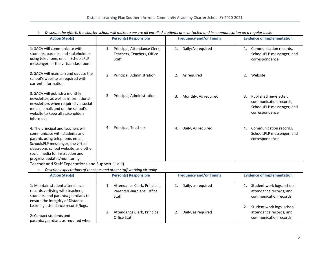| <b>Action Step(s)</b>                                                                                                                                                                                                                                   | <b>Person(s) Responsible</b>                                              | <b>Frequency and/or Timing</b> | <b>Evidence of Implementation</b>                                                                     |
|---------------------------------------------------------------------------------------------------------------------------------------------------------------------------------------------------------------------------------------------------------|---------------------------------------------------------------------------|--------------------------------|-------------------------------------------------------------------------------------------------------|
| 1: SACA will communicate with<br>students, parents, and stakeholders<br>using telephone, email, SchoolsPLP<br>messenger, or the virtual classroom.                                                                                                      | Principal, Attendance Clerk,<br>1.<br>Teachers, Teachers, Office<br>Staff | Daily/As required<br>1.        | Communication records,<br>1.<br>SchoolsPLP messenger, and<br>correspondence                           |
| 2: SACA will maintain and update the<br>school's website as required with<br>current information.                                                                                                                                                       | 2.<br>Principal, Administration                                           | As required<br>2.              | Website<br>2.                                                                                         |
| 3: SACA will publish a monthly<br>newsletter, as well as informational<br>newsletters when required via social<br>media, email, and on the school's<br>website to keep all stakeholders<br>informed.                                                    | 3.<br>Principal, Administration                                           | 3.<br>Monthly, As required     | Published newsletter,<br>3.<br>communication records,<br>SchoolsPLP messenger, and<br>correspondence. |
| 4: The principal and teachers will<br>communicate with students and<br>parents using telephone, email,<br>SchoolsPLP messenger, the virtual<br>classroom, school website, and other<br>social media for instruction and<br>progress updates/monitoring. | Principal, Teachers                                                       | Daily, As required<br>4.       | Communication records,<br>4.<br>SchoolsPLP messenger, and<br>correspondence.                          |

b. Describe the efforts the charter school will make to ensure all enrolled students are contacted and in communication on a regular basis.

Teacher and Staff Expectations and Support (1.a.ii)

*a. Describe expectations of teachers and other staff working virtually.*

| <b>Action Step(s)</b>                                                                                                                        | <b>Person(s) Responsible</b>                                              | <b>Frequency and/or Timing</b> | <b>Evidence of Implementation</b>                                             |
|----------------------------------------------------------------------------------------------------------------------------------------------|---------------------------------------------------------------------------|--------------------------------|-------------------------------------------------------------------------------|
| 1: Maintain student attendance<br>records verifying with teachers,<br>students, and parents/guardians to<br>ensure the integrity of Distance | Attendance Clerk, Principal,<br>Parents/Guardians, Office<br><b>Staff</b> | Daily, as required             | Student work logs, school<br>attendance records, and<br>communication records |
| Learning attendance records/logs.<br>2: Contact students and<br>parents/guardians as required when                                           | Attendance Clerk, Principal,<br>Office Staff                              | Daily, as required             | Student work logs, school<br>attendance records, and<br>communication records |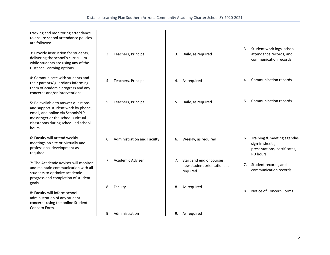| tracking and monitoring attendance<br>to ensure school attendance policies<br>are followed.                                                                                                        |                                         |                                                                            |                                                                                                  |
|----------------------------------------------------------------------------------------------------------------------------------------------------------------------------------------------------|-----------------------------------------|----------------------------------------------------------------------------|--------------------------------------------------------------------------------------------------|
| 3: Provide instruction for students,<br>delivering the school's curriculum<br>while students are using any of the<br>Distance Learning options.                                                    | Teachers, Principal<br>3.               | 3.<br>Daily, as required                                                   | Student work logs, school<br>3.<br>attendance records, and<br>communication records              |
| 4: Communicate with students and<br>their parents/ guardians informing<br>them of academic progress and any<br>concerns and/or interventions.                                                      | Teachers, Principal<br>4.               | As required<br>4.                                                          | <b>Communication records</b><br>4.                                                               |
| 5: Be available to answer questions<br>and support student work by phone,<br>email, and online via SchoolsPLP<br>messenger or the school's virtual<br>classrooms during scheduled school<br>hours. | 5.<br>Teachers, Principal               | 5.<br>Daily, as required                                                   | 5.<br>Communication records                                                                      |
| 6: Faculty will attend weekly<br>meetings on site or virtually and<br>professional development as<br>required.                                                                                     | 6.<br><b>Administration and Faculty</b> | Weekly, as required<br>6.                                                  | Training & meeting agendas,<br>6.<br>sign-in sheets,<br>presentations, certificates,<br>PD hours |
| 7: The Academic Adviser will monitor<br>and maintain communication with all<br>students to optimize academic<br>progress and completion of student<br>goals.                                       | <b>Academic Adviser</b><br>$7^{\circ}$  | Start and end of courses,<br>7.<br>new student orientation, as<br>required | Student records, and<br>7.<br>communication records                                              |
| 8: Faculty will inform school<br>administration of any student<br>concerns using the online Student<br>Concern Form.                                                                               | 8.<br>Faculty                           | As required<br>8.                                                          | Notice of Concern Forms<br>8.                                                                    |
|                                                                                                                                                                                                    | Administration<br>9.                    | As required<br>9.                                                          |                                                                                                  |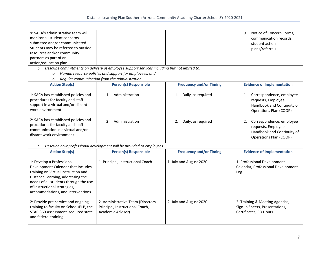| 9: SACA's administrative team will  |  | 9. | Notice of Concern Forms, |
|-------------------------------------|--|----|--------------------------|
| monitor all student concerns        |  |    | communication records,   |
| submitted and/or communicated.      |  |    | student action           |
| Students may be referred to outside |  |    | plans/referrals          |
| resources and/or community          |  |    |                          |
| partners as part of an              |  |    |                          |
| action/education plan.              |  |    |                          |

*b. Describe commitments on delivery of employee support services including but not limited to:*

- *o Human resource policies and support for employees; and*
- *o Regular communication from the administration.*

| <b>Action Step(s)</b>                                                                                                                      | <b>Person(s) Responsible</b> | <b>Frequency and/or Timing</b> | <b>Evidence of Implementation</b>                                                                      |
|--------------------------------------------------------------------------------------------------------------------------------------------|------------------------------|--------------------------------|--------------------------------------------------------------------------------------------------------|
| 1: SACA has established policies and<br>procedures for faculty and staff<br>support in a virtual and/or distant<br>work environment.       | Administration               | Daily, as required             | Correspondence, employee<br>requests, Employee<br>Handbook and Continuity of<br>Operations Plan (COOP) |
| 2: SACA has established policies and<br>procedures for faculty and staff<br>communication in a virtual and/or<br>distant work environment. | Administration               | Daily, as required             | Correspondence, employee<br>requests, Employee<br>Handbook and Continuity of<br>Operations Plan (COOP) |

*c. Describe how professional development will be provided to employees.*

| <b>Action Step(s)</b>                                                                                                                                                                                                                                      | <b>Person(s) Responsible</b>                                                               | <b>Frequency and/or Timing</b> | <b>Evidence of Implementation</b>                                                          |
|------------------------------------------------------------------------------------------------------------------------------------------------------------------------------------------------------------------------------------------------------------|--------------------------------------------------------------------------------------------|--------------------------------|--------------------------------------------------------------------------------------------|
| 1: Develop a Professional<br>Development Calendar that includes<br>training on Virtual Instruction and<br>Distance Learning, addressing the<br>needs of all students through the use<br>of instructional strategies,<br>accommodations, and interventions. | 1. Principal, Instructional Coach                                                          | 1. July and August 2020        | 1. Professional Development<br>Calendar, Professional Development<br>Log                   |
| 2: Provide pre-service and ongoing<br>training to faculty on SchoolsPLP, the<br>STAR 360 Assessment, required state<br>and federal training.                                                                                                               | 2. Administrative Team (Directors,<br>Principal, Instructional Coach,<br>Academic Adviser) | 2. July and August 2020        | 2. Training & Meeting Agendas,<br>Sign-in Sheets, Presentations,<br>Certificates, PD Hours |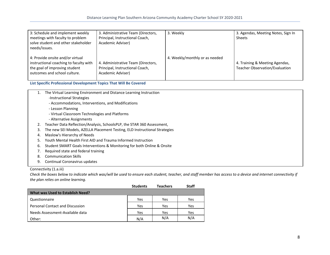| 3: Schedule and implement weekly<br>meetings with faculty to problem<br>solve student and other stakeholder<br>needs/issues.                | 3. Administrative Team (Directors,<br>Principal, Instructional Coach,<br>Academic Adviser) | 3. Weekly                      | 3. Agendas, Meeting Notes, Sign In<br><b>Sheets</b>                     |
|---------------------------------------------------------------------------------------------------------------------------------------------|--------------------------------------------------------------------------------------------|--------------------------------|-------------------------------------------------------------------------|
| 4: Provide onsite and/or virtual<br>instructional coaching to faculty with<br>the goal of improving student<br>outcomes and school culture. | 4. Administrative Team (Directors,<br>Principal, Instructional Coach,<br>Academic Adviser) | 4. Weekly/monthly or as needed | 4. Training & Meeting Agendas,<br><b>Teacher Observation/Evaluation</b> |

**List Specific Professional Development Topics That Will Be Covered**

1. The Virtual Learning Environment and Distance Learning Instruction -Instructional Strategies - Accommodations, Interventions, and Modifications - Lesson Planning - Virtual Classroom Technologies and Platforms - Alternative Assignments 2. Teacher Data Reflection/Analysis, SchoolsPLP, the STAR 360 Assessment, 3. The new SEI Models, AZELLA Placement Testing, ELD Instructional Strategies 4. Maslow's Hierarchy of Needs 5. Youth Mental Health First AID and Trauma Informed Instruction 6. Student SMART Goals Interventions & Monitoring for both Online & Onsite 7. Required state and federal training 8. Communication Skills 9. Continual Coronavirus updates

## Connectivity (1.a.iii)

Check the boxes below to indicate which was/will be used to ensure each student, teacher, and staff member has access to a device and internet connectivity if *the plan relies on online learning.*

|                                  | <b>Students</b> | <b>Teachers</b> | <b>Staff</b> |
|----------------------------------|-----------------|-----------------|--------------|
| What was Used to Establish Need? |                 |                 |              |
| Questionnaire                    | Yes             | Yes             | Yes          |
| Personal Contact and Discussion  | Yes             | Yes             | Yes          |
| Needs Assessment-Available data  | Yes             | Yes             | Yes          |
| Other:                           | N/A             | N/A             | N/A          |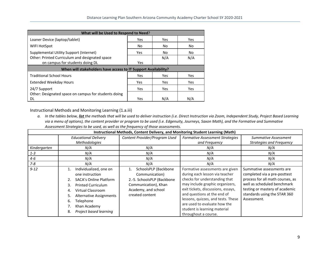| What will be Used to Respond to Need?                          |            |     |     |  |  |
|----------------------------------------------------------------|------------|-----|-----|--|--|
| Loaner Device (laptop/tablet)                                  | Yes        | Yes | Yes |  |  |
| WIFI HotSpot                                                   | No         | No  | No  |  |  |
| Supplemental Utility Support (Internet)                        | Yes        | No  | No  |  |  |
| Other: Printed Curriculum and designated space                 |            | N/A | N/A |  |  |
| on campus for students doing DL                                | Yes        |     |     |  |  |
|                                                                |            |     |     |  |  |
| When will stakeholders have access to IT Support Availability? |            |     |     |  |  |
| <b>Traditional School Hours</b>                                | <b>Yes</b> | Yes | Yes |  |  |
| Extended Weekday Hours                                         | Yes        | Yes | Yes |  |  |
| 24/7 Support                                                   | <b>Yes</b> | Yes | Yes |  |  |
| Other: Designated space on campus for students doing           |            |     |     |  |  |

Instructional Methods and Monitoring Learning (1.a.iii)

a. In the tables below, *list* the methods that will be used to deliver instruction (i.e. Direct Instruction via Zoom, Independent Study, Project Based Learning via a menu of options), the content provider or program to be used (i.e. Edgenuity, Journeys, Saxon Math), and the Formative and Summative *Assessment Strategies to be used, as well as the frequency of those assessments.*

| Instructional Methods, Content Delivery, and Monitoring Student Learning (Math) |                                                                                                                                                                                                                                                     |                                                                                                                                        |                                                                                                                                                                                                                                                                                                                                          |                                                                                                                                                                                                               |
|---------------------------------------------------------------------------------|-----------------------------------------------------------------------------------------------------------------------------------------------------------------------------------------------------------------------------------------------------|----------------------------------------------------------------------------------------------------------------------------------------|------------------------------------------------------------------------------------------------------------------------------------------------------------------------------------------------------------------------------------------------------------------------------------------------------------------------------------------|---------------------------------------------------------------------------------------------------------------------------------------------------------------------------------------------------------------|
|                                                                                 | <b>Educational Delivery</b>                                                                                                                                                                                                                         | Content Provider/Program Used                                                                                                          | <b>Formative Assessment Strategies</b>                                                                                                                                                                                                                                                                                                   | Summative Assessment                                                                                                                                                                                          |
|                                                                                 | Methodologies                                                                                                                                                                                                                                       |                                                                                                                                        | and Frequency                                                                                                                                                                                                                                                                                                                            | <b>Strategies and Frequency</b>                                                                                                                                                                               |
| Kindergarten                                                                    | N/A                                                                                                                                                                                                                                                 | N/A                                                                                                                                    | N/A                                                                                                                                                                                                                                                                                                                                      | N/A                                                                                                                                                                                                           |
| $1 - 3$                                                                         | N/A                                                                                                                                                                                                                                                 | N/A                                                                                                                                    | N/A                                                                                                                                                                                                                                                                                                                                      | N/A                                                                                                                                                                                                           |
| $4 - 6$                                                                         | N/A                                                                                                                                                                                                                                                 | N/A                                                                                                                                    | N/A                                                                                                                                                                                                                                                                                                                                      | N/A                                                                                                                                                                                                           |
| $7 - 8$                                                                         | N/A                                                                                                                                                                                                                                                 | N/A                                                                                                                                    | N/A                                                                                                                                                                                                                                                                                                                                      | N/A                                                                                                                                                                                                           |
| $9 - 12$                                                                        | Individualized, one on<br>one instruction<br><b>SACA's Online Platform</b><br><b>Printed Curriculum</b><br>3.<br>Virtual Classroom<br>4.<br><b>Alternative Assignments</b><br>5.<br>Telephone<br>6.<br>Khan Academy<br>Project based learning<br>8. | SchoolsPLP (Backbone<br>Communication)<br>2.-5. SchoolsPLP (Backbone<br>Communication), Khan<br>Academy, and school<br>created content | Formative assessments are given<br>during each lesson via teacher<br>checks for understanding that<br>may include graphic organizers,<br>exit tickets, discussions, essays,<br>and questions at the end of<br>lessons, quizzes, and tests. These<br>are used to evaluate how the<br>student is learning material<br>throughout a course. | Summative assessments are<br>completed via a pre-posttest<br>process for all math courses, as<br>well as scheduled benchmark<br>testing or mastery of academic<br>standards using the STAR 360<br>Assessment. |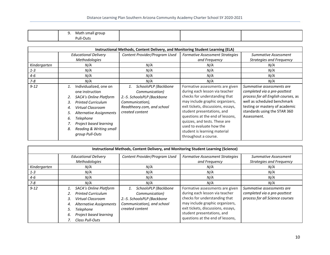| Math<br>i small group<br><u>.</u> |  |  |
|-----------------------------------|--|--|
| Pull-Outs                         |  |  |

|              |                                                                                                                                                                                                                                                                            | Instructional Methods, Content Delivery, and Monitoring Student Learning (ELA)                                                           |                                                                                                                                                                                                                                                                                                                                                                    |                                                                                                                                                                                                                  |
|--------------|----------------------------------------------------------------------------------------------------------------------------------------------------------------------------------------------------------------------------------------------------------------------------|------------------------------------------------------------------------------------------------------------------------------------------|--------------------------------------------------------------------------------------------------------------------------------------------------------------------------------------------------------------------------------------------------------------------------------------------------------------------------------------------------------------------|------------------------------------------------------------------------------------------------------------------------------------------------------------------------------------------------------------------|
|              | <b>Educational Delivery</b><br>Methodologies                                                                                                                                                                                                                               | Content Provider/Program Used                                                                                                            | <b>Formative Assessment Strategies</b><br>and Frequency                                                                                                                                                                                                                                                                                                            | Summative Assessment<br><b>Strategies and Frequency</b>                                                                                                                                                          |
| Kindergarten | N/A                                                                                                                                                                                                                                                                        | N/A                                                                                                                                      | N/A                                                                                                                                                                                                                                                                                                                                                                | N/A                                                                                                                                                                                                              |
| $1 - 3$      | N/A                                                                                                                                                                                                                                                                        | N/A                                                                                                                                      | N/A                                                                                                                                                                                                                                                                                                                                                                | N/A                                                                                                                                                                                                              |
| 4-6          | N/A                                                                                                                                                                                                                                                                        | N/A                                                                                                                                      | N/A                                                                                                                                                                                                                                                                                                                                                                | N/A                                                                                                                                                                                                              |
| $7 - 8$      | N/A                                                                                                                                                                                                                                                                        | N/A                                                                                                                                      | N/A                                                                                                                                                                                                                                                                                                                                                                | N/A                                                                                                                                                                                                              |
| $9 - 12$     | Individualized, one on<br>one instruction<br>SACA's Online Platform<br><b>Printed Curriculum</b><br>3.<br>Virtual Classroom<br>4.<br>Alternative Assignments<br>5.<br><b>Telephone</b><br>6.<br>Project based learning<br>Reading & Writing small<br>8.<br>group Pull-Outs | SchoolsPLP (Backbone<br>Communication)<br>2.-5. SchoolsPLP (Backbone<br>Communication),<br>Readtheory.com, and school<br>created content | Formative assessments are given<br>during each lesson via teacher<br>checks for understanding that<br>may include graphic organizers,<br>exit tickets, discussions, essays,<br>student presentations, and<br>questions at the end of lessons,<br>quizzes, and tests. These are<br>used to evaluate how the<br>student is learning material<br>throughout a course. | Summative assessments are<br>completed via a pre-posttest<br>process for all English courses, as<br>well as scheduled benchmark<br>testing or mastery of academic<br>standards using the STAR 360<br>Assessment. |

| Instructional Methods, Content Delivery, and Monitoring Student Learning (Science) |                                                                                                                                                                                                                  |                                                                                                                       |                                                                                                                                                                                                                                               |                                                                                              |
|------------------------------------------------------------------------------------|------------------------------------------------------------------------------------------------------------------------------------------------------------------------------------------------------------------|-----------------------------------------------------------------------------------------------------------------------|-----------------------------------------------------------------------------------------------------------------------------------------------------------------------------------------------------------------------------------------------|----------------------------------------------------------------------------------------------|
|                                                                                    | <b>Educational Delivery</b><br>Methodologies                                                                                                                                                                     | Content Provider/Program Used                                                                                         | <b>Formative Assessment Strategies</b><br>and Frequency                                                                                                                                                                                       | Summative Assessment<br><b>Strategies and Frequency</b>                                      |
| Kindergarten                                                                       | N/A                                                                                                                                                                                                              | N/A                                                                                                                   | N/A                                                                                                                                                                                                                                           | N/A                                                                                          |
| $1 - 3$                                                                            | N/A                                                                                                                                                                                                              | N/A                                                                                                                   | N/A                                                                                                                                                                                                                                           | N/A                                                                                          |
| 4-6                                                                                | N/A                                                                                                                                                                                                              | N/A                                                                                                                   | N/A                                                                                                                                                                                                                                           | N/A                                                                                          |
| 7-8                                                                                | N/A                                                                                                                                                                                                              | N/A                                                                                                                   | N/A                                                                                                                                                                                                                                           | N/A                                                                                          |
| $9 - 12$                                                                           | <b>SACA's Online Platform</b><br>1.<br><b>Printed Curriculum</b><br>Virtual Classroom<br>3.<br><b>Alternative Assignments</b><br>4.<br><b>Telephone</b><br>5.<br>Project based learning<br>6.<br>Class Pull-Outs | SchoolsPLP (Backbone<br>Communication)<br>2.-5. SchoolsPLP (Backbone<br>Communication), and school<br>created content | Formative assessments are given<br>during each lesson via teacher<br>checks for understanding that<br>may include graphic organizers,<br>exit tickets, discussions, essays,<br>student presentations, and<br>questions at the end of lessons, | Summative assessments are<br>completed via a pre-posttest<br>process for all Science courses |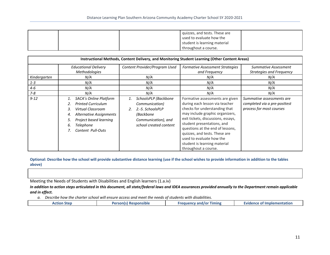|  | quizzes, and tests. These are |  |
|--|-------------------------------|--|
|  | used to evaluate how the      |  |
|  | student is learning material  |  |
|  | throughout a course.          |  |

|              |                                                                                                                                                                                                                    |                                                                                                                                      | Instructional Methods, Content Delivery, and Monitoring Student Learning (Other Content Areas)                                                                                                                                                                                                                                                                     |                                                                                       |
|--------------|--------------------------------------------------------------------------------------------------------------------------------------------------------------------------------------------------------------------|--------------------------------------------------------------------------------------------------------------------------------------|--------------------------------------------------------------------------------------------------------------------------------------------------------------------------------------------------------------------------------------------------------------------------------------------------------------------------------------------------------------------|---------------------------------------------------------------------------------------|
|              | <b>Educational Delivery</b><br><b>Methodologies</b>                                                                                                                                                                | Content Provider/Program Used                                                                                                        | <b>Formative Assessment Strategies</b><br>and Frequency                                                                                                                                                                                                                                                                                                            | Summative Assessment<br><b>Strategies and Frequency</b>                               |
| Kindergarten | N/A                                                                                                                                                                                                                | N/A                                                                                                                                  | N/A                                                                                                                                                                                                                                                                                                                                                                | N/A                                                                                   |
| $1 - 3$      | N/A                                                                                                                                                                                                                | N/A                                                                                                                                  | N/A                                                                                                                                                                                                                                                                                                                                                                | N/A                                                                                   |
| 4-6          | N/A                                                                                                                                                                                                                | N/A                                                                                                                                  | N/A                                                                                                                                                                                                                                                                                                                                                                | N/A                                                                                   |
| $7 - 8$      | N/A                                                                                                                                                                                                                | N/A                                                                                                                                  | N/A                                                                                                                                                                                                                                                                                                                                                                | N/A                                                                                   |
| $9 - 12$     | <b>SACA's Online Platform</b><br>1.<br><b>Printed Curriculum</b><br>Virtual Classroom<br>3.<br>Alternative Assignments<br>4.<br>Project based learning<br>5.<br><b>Telephone</b><br>6.<br><b>Content Pull-Outs</b> | SchoolsPLP (Backbone<br>1.<br>Communication)<br>2.-5. SchoolsPLP<br>2.<br>(Backbone<br>Communication), and<br>school created content | Formative assessments are given<br>during each lesson via teacher<br>checks for understanding that<br>may include graphic organizers,<br>exit tickets, discussions, essays,<br>student presentations, and<br>questions at the end of lessons,<br>quizzes, and tests. These are<br>used to evaluate how the<br>student is learning material<br>throughout a course. | Summative assessments are<br>completed via a pre-posttest<br>process for most courses |

Optional: Describe how the school will provide substantive distance learning (use if the school wishes to provide information in addition to the tables **above)**

Meeting the Needs of Students with Disabilities and English learners (1.a.iv)

In addition to action steps articulated in this document, all state/federal laws and IDEA assurances provided annually to the Department remain applicable *and in effect.*

*a. Describe how the charter school will ensure access and meet the needs of students with disabilities.*

| -111<br>$\cdot$ niar<br>$-$<br>suut<br>-<br>анк | ימנו | imin |  |
|-------------------------------------------------|------|------|--|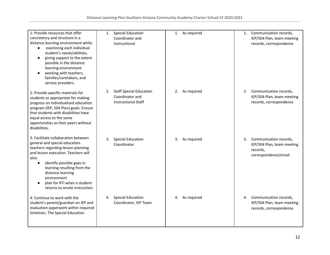| 1: Provide resources that offer<br>consistency and structure in a<br>distance learning environment while:<br>examining each individual<br>$\bullet$<br>student's needs/abilities,<br>giving support to the extent<br>possible in the distance<br>learning environment<br>working with teachers,<br>families/caretakers, and<br>service providers. | <b>Special Education</b><br>1.<br>Coordinator and<br>Instructional                    | 1. As required    | Communication records,<br>1.<br>IEP/504 Plan, team meeting<br>records, correspondence       |
|---------------------------------------------------------------------------------------------------------------------------------------------------------------------------------------------------------------------------------------------------------------------------------------------------------------------------------------------------|---------------------------------------------------------------------------------------|-------------------|---------------------------------------------------------------------------------------------|
| 2: Provide specific materials for<br>students as appropriate for making<br>progress on individualized education<br>program (IEP, 504 Plan) goals. Ensure<br>that students with disabilities have<br>equal access to the same<br>opportunities as their peers without<br>disabilities.                                                             | <b>Staff Special Education</b><br>2.<br>Coordinator and<br><b>Instructional Staff</b> | As required<br>2. | 2. Communication records,<br>IEP/504 Plan, team meeting<br>records, correspondence          |
| 3: Facilitate collaboration between<br>general and special education<br>teachers regarding lesson planning<br>and lesson execution. Teachers will<br>also:<br>identify possible gaps in<br>$\bullet$<br>learning resulting from the<br>distance learning<br>environment<br>plan for RTI when a student<br>returns to onsite instruction.          | <b>Special Education</b><br>3.<br>Coordinator                                         | As required<br>3. | 3. Communication records,<br>IEP/504 Plan, team meeting<br>records,<br>correspondence/email |
| 4: Continue to work with the<br>student's parent/guardian on IEP and<br>evaluation paperwork within required<br>timelines. The Special Education                                                                                                                                                                                                  | <b>Special Education</b><br>4.<br>Coordinator, IEP Team                               | As required<br>4. | 4. Communication records,<br>IEP/504 Plan, team meeting<br>records, correspondence          |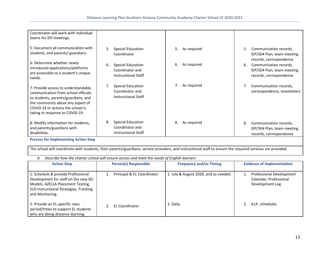| Coordinator will work with individual<br>teams for IEP meetings.                                                                                                                                                               |                                                                                 |                   |                                                                                                                  |
|--------------------------------------------------------------------------------------------------------------------------------------------------------------------------------------------------------------------------------|---------------------------------------------------------------------------------|-------------------|------------------------------------------------------------------------------------------------------------------|
| 5: Document all communication with<br>students, and parents/ guardians.                                                                                                                                                        | 5.<br><b>Special Education</b><br>Coordinator                                   | As required<br>5. | 5.<br>Communication records,<br>IEP/504 Plan, team meeting                                                       |
| 6: Determine whether newly<br>introduced applications/platforms<br>are accessible to a student's unique<br>needs.                                                                                                              | <b>Special Education</b><br>6.<br>Coordinator and<br><b>Instructional Staff</b> | As required<br>6. | records, correspondence<br>Communication records,<br>6.<br>IEP/504 Plan, team meeting<br>records, correspondence |
| 7: Provide access to understandable<br>communication from school officials<br>to students, parents/guardians, and<br>the community about any aspect of<br>COVID-19 or actions the school is<br>taking in response to COVID-19. | <b>Special Education</b><br>Coordinator and<br>Instructional Staff              | 7.<br>As required | Communication records,<br>correspondence, newsletters                                                            |
| 8: Modify information for students,<br>and parents/guardians with<br>disabilities.                                                                                                                                             | <b>Special Education</b><br>8.<br>Coordinator and<br><b>Instructional Staff</b> | 8.<br>As required | 8.<br>Communication records,<br>IEP/504 Plan, team meeting<br>records, correspondence                            |

**Process for Implementing Action Step**

The school will coordinate with students, their parents/guardians, service providers, and instructional staff to ensure the required services are provided.

| Describe how the charter school will ensure access and meet the needs of English learners<br>b.                                                                              |                              |                                       |                                                                       |  |  |
|------------------------------------------------------------------------------------------------------------------------------------------------------------------------------|------------------------------|---------------------------------------|-----------------------------------------------------------------------|--|--|
| <b>Action Step</b>                                                                                                                                                           | <b>Person(s) Responsible</b> | <b>Frequency and/or Timing</b>        | <b>Evidence of Implementation</b>                                     |  |  |
| 1: Schedule & provide Professional<br>Development for staff on the new SEI<br>Models, AZELLA Placement Testing,<br>ELD Instructional Strategies, Tracking<br>and Monitoring. | Principal & EL Coordinator   | 1. July & August 2020, and as needed. | Professional Development<br>Calendar, Professional<br>Development Log |  |  |
| 2: Provide an EL-specific class<br>period/times to support EL students<br>who are doing distance learning.                                                                   | EL Coordinator               | 2. Daily                              | ILLP, schedules                                                       |  |  |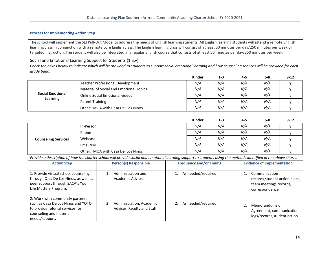#### **Process for Implementing Action Step**

The school will implement the SEI Pull-Out Model to address the needs of English learning students. All English learning students will attend a remote English learning class in conjunction with a remote core English class. The English learning class will consist of at least 50 minutes per day/250 minutes per week of targeted instruction. The student will also be integrated in a regular English course that consists of at least 50 minutes per day/250 minutes per week.

Social and Emotional Learning Support for Students (1.a.v)

Check the boxes below to indicate which will be provided to students to support social emotional learning and how counseling services will be provided for each *grade band.*

|                                     |                                         | <b>Kinder</b> | $1 - 3$ | 4-5 | $6 - 8$ | $9 - 12$ |
|-------------------------------------|-----------------------------------------|---------------|---------|-----|---------|----------|
| <b>Social Emotional</b><br>Learning | Teacher Professional Development        | N/A           | N/A     | N/A | N/A     |          |
|                                     | Material of Social and Emotional Topics | N/A           | N/A     | N/A | N/A     |          |
|                                     | <b>Online Social Emotional videos</b>   | N/A           | N/A     | N/A | N/A     |          |
|                                     | Parent Training                         | N/A           | N/A     | N/A | N/A     |          |
|                                     | Other: MOA with Casa Del Los Ninos      | N/A           | N/A     | N/A | N/A     |          |

|                            |                                    | Kinder | $1 - 3$ | 4-5 | 6-8 | $9 - 12$ |
|----------------------------|------------------------------------|--------|---------|-----|-----|----------|
| <b>Counseling Services</b> | In-Person                          | N/A    | N/A     | N/A | N/A |          |
|                            | Phone                              | N/A    | N/A     | N/A | N/A |          |
|                            | Webcast                            | N/A    | N/A     | N/A | N/A |          |
|                            | Email/IM                           | N/A    | N/A     | N/A | N/A |          |
|                            | Other: MOA with Casa Del Los Ninos | N/A    | N/A     | N/A | N/A |          |

Provide a description of how the charter school will provide social and emotional learning support to students using the methods identified in the above charts.

| <b>Action Step</b>                                                                                                                                     | <b>Person(s) Responsible</b>                           | <b>Frequency and/or Timing</b> | <b>Evidence of Implementation</b>                                                           |
|--------------------------------------------------------------------------------------------------------------------------------------------------------|--------------------------------------------------------|--------------------------------|---------------------------------------------------------------------------------------------|
| 1: Provide virtual school counseling<br>through Casa De Los Ninos, as well as<br>peer support through SACA's Your<br>Life Matters Program.             | Administration and<br>Academic Adviser                 | As needed/required             | Communication<br>records, student action plans,<br>team meetings records,<br>correspondence |
| 2: Work with community partners<br>such as Casa De Los Ninos and YOTO<br>to provide referral services for<br>counseling and material<br>needs/support. | Administration, Academic<br>Adviser, Faculty and Staff | As needed/required             | Memorandums of<br>Agreement, communication<br>logs/records, student action                  |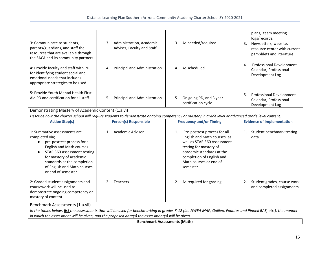| 3: Communicate to students,<br>parents/guardians, and staff the<br>resources that are available through<br>the SACA and its community partners.   | Administration, Academic<br>3.<br>Adviser, Faculty and Staff | As needed/required<br>3.                             | plans, team meeting<br>logs/records,<br>Newsletters, website,<br>3.<br>resource center with current<br>pamphlets and literature |
|---------------------------------------------------------------------------------------------------------------------------------------------------|--------------------------------------------------------------|------------------------------------------------------|---------------------------------------------------------------------------------------------------------------------------------|
| 4: Provide faculty and staff with PD<br>for identifying student social and<br>emotional needs that includes<br>appropriate strategies to be used. | Principal and Administration<br>4.                           | As scheduled<br>4.                                   | <b>Professional Development</b><br>4.<br>Calendar, Professional<br>Development Log                                              |
| 5: Provide Youth Mental Health First<br>Aid PD and certification for all staff.                                                                   | Principal and Administration<br>5.                           | On going PD, and 3 year<br>5.<br>certification cycle | Professional Development<br>Calendar, Professional<br>Development Log                                                           |

## Demonstrating Mastery of Academic Content (1.a.vi)

Describe how the charter school will require students to demonstrate ongoing competency or mastery in grade level or advanced grade level content.

| <b>Action Step(s)</b>                                                                                                                                                                                                                                           | <b>Person(s) Responsible</b> | <b>Frequency and/or Timing</b>                                                                                                                                                                                              | <b>Evidence of Implementation</b>                         |
|-----------------------------------------------------------------------------------------------------------------------------------------------------------------------------------------------------------------------------------------------------------------|------------------------------|-----------------------------------------------------------------------------------------------------------------------------------------------------------------------------------------------------------------------------|-----------------------------------------------------------|
| 1: Summative assessments are<br>completed via;<br>pre-posttest process for all<br><b>English and Math courses</b><br>STAR 360 Assessment testing<br>for mastery of academic<br>standards at the completion<br>of English and Math courses<br>or end of semester | Academic Adviser             | Pre-posttest process for all<br>1.<br>English and Math courses, as<br>well as STAR 360 Assessment<br>testing for mastery of<br>academic standards at the<br>completion of English and<br>Math courses or end of<br>semester | Student benchmark testing<br>data                         |
| 2: Graded student assignments and<br>coursework will be used to<br>demonstrate ongoing competency or<br>mastery of content.                                                                                                                                     | <b>Teachers</b>              | As required for grading.                                                                                                                                                                                                    | Student grades, course work,<br>and completed assignments |

Benchmark Assessments (1.a.vii)

In the tables below, *list* the assessments that will be used for benchmarking in grades K-12 (i.e. NWEA MAP, Galileo, Fountas and Pinnell BAS, etc.), the manner *in which the assessment will be given, and the proposed date(s) the assessment(s) will be given.*

**Benchmark Assessments (Math)**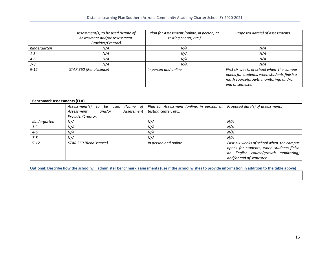|              | Assessment(s) to be used (Name of<br>Assessment and/or Assessment<br>Provider/Creator) | Plan for Assessment (online, in person, at<br>testing center, etc.) | Proposed date(s) of assessments                                                                                                                     |
|--------------|----------------------------------------------------------------------------------------|---------------------------------------------------------------------|-----------------------------------------------------------------------------------------------------------------------------------------------------|
| Kindergarten | N/A                                                                                    | N/A                                                                 | N/A                                                                                                                                                 |
| $1 - 3$      | N/A                                                                                    | N/A                                                                 | N/A                                                                                                                                                 |
| 4-6          | N/A                                                                                    | N/A                                                                 | N/A                                                                                                                                                 |
| 7-8          | N/A                                                                                    | N/A                                                                 | N/A                                                                                                                                                 |
| $9 - 12$     | STAR 360 (Renaissance)                                                                 | In person and online                                                | First six weeks of school when the campus<br>opens for students, when students finish a<br>math course(growth monitoring) and/or<br>end of semester |

| <b>Benchmark Assessments (ELA)</b> |                                                                                                |                                                                     |                                                                                                                                                         |  |  |
|------------------------------------|------------------------------------------------------------------------------------------------|---------------------------------------------------------------------|---------------------------------------------------------------------------------------------------------------------------------------------------------|--|--|
|                                    | Assessment(s) to be used (Name of<br>and/or<br>Assessment  <br>Assessment<br>Provider/Creator) | Plan for Assessment (online, in person, at<br>testing center, etc.) | Proposed date(s) of assessments                                                                                                                         |  |  |
| Kindergarten                       | N/A                                                                                            | N/A                                                                 | N/A                                                                                                                                                     |  |  |
| $1 - 3$                            | N/A                                                                                            | N/A                                                                 | N/A                                                                                                                                                     |  |  |
| $4 - 6$                            | N/A                                                                                            | N/A                                                                 | N/A                                                                                                                                                     |  |  |
| $7 - 8$                            | N/A                                                                                            | N/A                                                                 | N/A                                                                                                                                                     |  |  |
| $9 - 12$                           | STAR 360 (Renaissance)                                                                         | In person and online                                                | First six weeks of school when the campus<br>opens for students, when students finish<br>an English course(growth monitoring)<br>and/or end of semester |  |  |

Optional: Describe how the school will administer benchmark assessments (use if the school wishes to provide information in addition to the table above)